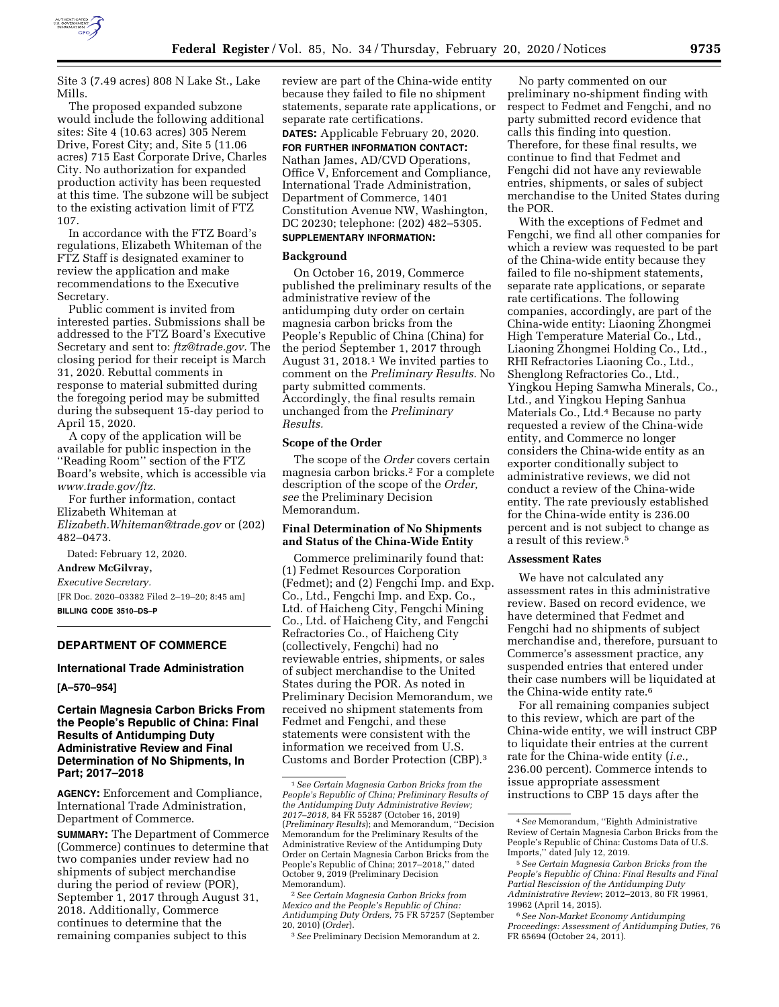

Site 3 (7.49 acres) 808 N Lake St., Lake Mills.

The proposed expanded subzone would include the following additional sites: Site 4 (10.63 acres) 305 Nerem Drive, Forest City; and, Site 5 (11.06 acres) 715 East Corporate Drive, Charles City. No authorization for expanded production activity has been requested at this time. The subzone will be subject to the existing activation limit of FTZ 107.

In accordance with the FTZ Board's regulations, Elizabeth Whiteman of the FTZ Staff is designated examiner to review the application and make recommendations to the Executive Secretary.

Public comment is invited from interested parties. Submissions shall be addressed to the FTZ Board's Executive Secretary and sent to: *[ftz@trade.gov.](mailto:ftz@trade.gov)* The closing period for their receipt is March 31, 2020. Rebuttal comments in response to material submitted during the foregoing period may be submitted during the subsequent 15-day period to April 15, 2020.

A copy of the application will be available for public inspection in the ''Reading Room'' section of the FTZ Board's website, which is accessible via *[www.trade.gov/ftz.](http://www.trade.gov/ftz)* 

For further information, contact Elizabeth Whiteman at *[Elizabeth.Whiteman@trade.gov](mailto:Elizabeth.Whiteman@trade.gov)* or (202) 482–0473.

Dated: February 12, 2020.

# **Andrew McGilvray,**

*Executive Secretary.* 

[FR Doc. 2020–03382 Filed 2–19–20; 8:45 am] **BILLING CODE 3510–DS–P** 

## **DEPARTMENT OF COMMERCE**

#### **International Trade Administration**

**[A–570–954]** 

**Certain Magnesia Carbon Bricks From the People's Republic of China: Final Results of Antidumping Duty Administrative Review and Final Determination of No Shipments, In Part; 2017–2018** 

**AGENCY:** Enforcement and Compliance, International Trade Administration, Department of Commerce.

**SUMMARY:** The Department of Commerce (Commerce) continues to determine that two companies under review had no shipments of subject merchandise during the period of review (POR), September 1, 2017 through August 31, 2018. Additionally, Commerce continues to determine that the remaining companies subject to this

review are part of the China-wide entity because they failed to file no shipment statements, separate rate applications, or separate rate certifications.

**DATES:** Applicable February 20, 2020. **FOR FURTHER INFORMATION CONTACT:**  Nathan James, AD/CVD Operations, Office V, Enforcement and Compliance, International Trade Administration, Department of Commerce, 1401 Constitution Avenue NW, Washington, DC 20230; telephone: (202) 482–5305. **SUPPLEMENTARY INFORMATION:** 

# **Background**

On October 16, 2019, Commerce published the preliminary results of the administrative review of the antidumping duty order on certain magnesia carbon bricks from the People's Republic of China (China) for the period September 1, 2017 through August 31, 2018.1 We invited parties to comment on the *Preliminary Results.* No party submitted comments. Accordingly, the final results remain unchanged from the *Preliminary Results.* 

#### **Scope of the Order**

The scope of the *Order* covers certain magnesia carbon bricks.2 For a complete description of the scope of the *Order, see* the Preliminary Decision Memorandum.

## **Final Determination of No Shipments and Status of the China-Wide Entity**

Commerce preliminarily found that: (1) Fedmet Resources Corporation (Fedmet); and (2) Fengchi Imp. and Exp. Co., Ltd., Fengchi Imp. and Exp. Co., Ltd. of Haicheng City, Fengchi Mining Co., Ltd. of Haicheng City, and Fengchi Refractories Co., of Haicheng City (collectively, Fengchi) had no reviewable entries, shipments, or sales of subject merchandise to the United States during the POR. As noted in Preliminary Decision Memorandum, we received no shipment statements from Fedmet and Fengchi, and these statements were consistent with the information we received from U.S. Customs and Border Protection (CBP).3

2*See Certain Magnesia Carbon Bricks from Mexico and the People's Republic of China: Antidumping Duty Orders,* 75 FR 57257 (September 20, 2010) (*Order*).

No party commented on our preliminary no-shipment finding with respect to Fedmet and Fengchi, and no party submitted record evidence that calls this finding into question. Therefore, for these final results, we continue to find that Fedmet and Fengchi did not have any reviewable entries, shipments, or sales of subject merchandise to the United States during the POR.

With the exceptions of Fedmet and Fengchi, we find all other companies for which a review was requested to be part of the China-wide entity because they failed to file no-shipment statements, separate rate applications, or separate rate certifications. The following companies, accordingly, are part of the China-wide entity: Liaoning Zhongmei High Temperature Material Co., Ltd., Liaoning Zhongmei Holding Co., Ltd., RHI Refractories Liaoning Co., Ltd., Shenglong Refractories Co., Ltd., Yingkou Heping Samwha Minerals, Co., Ltd., and Yingkou Heping Sanhua Materials Co., Ltd.4 Because no party requested a review of the China-wide entity, and Commerce no longer considers the China-wide entity as an exporter conditionally subject to administrative reviews, we did not conduct a review of the China-wide entity. The rate previously established for the China-wide entity is 236.00 percent and is not subject to change as a result of this review.5

#### **Assessment Rates**

We have not calculated any assessment rates in this administrative review. Based on record evidence, we have determined that Fedmet and Fengchi had no shipments of subject merchandise and, therefore, pursuant to Commerce's assessment practice, any suspended entries that entered under their case numbers will be liquidated at the China-wide entity rate.6

For all remaining companies subject to this review, which are part of the China-wide entity, we will instruct CBP to liquidate their entries at the current rate for the China-wide entity (*i.e.,*  236.00 percent). Commerce intends to issue appropriate assessment instructions to CBP 15 days after the

<sup>1</sup>*See Certain Magnesia Carbon Bricks from the People's Republic of China; Preliminary Results of the Antidumping Duty Administrative Review; 2017–2018,* 84 FR 55287 (October 16, 2019) (*Preliminary Results*); and Memorandum, ''Decision Memorandum for the Preliminary Results of the Administrative Review of the Antidumping Duty Order on Certain Magnesia Carbon Bricks from the People's Republic of China; 2017–2018,'' dated October 9, 2019 (Preliminary Decision Memorandum).

<sup>3</sup>*See* Preliminary Decision Memorandum at 2.

<sup>4</sup>*See* Memorandum, ''Eighth Administrative Review of Certain Magnesia Carbon Bricks from the People's Republic of China: Customs Data of U.S. Imports,'' dated July 12, 2019.

<sup>5</sup>*See Certain Magnesia Carbon Bricks from the People's Republic of China: Final Results and Final Partial Rescission of the Antidumping Duty Administrative Review*; 2012–2013, 80 FR 19961, 19962 (April 14, 2015).

<sup>6</sup>*See Non-Market Economy Antidumping Proceedings: Assessment of Antidumping Duties,* 76 FR 65694 (October 24, 2011).